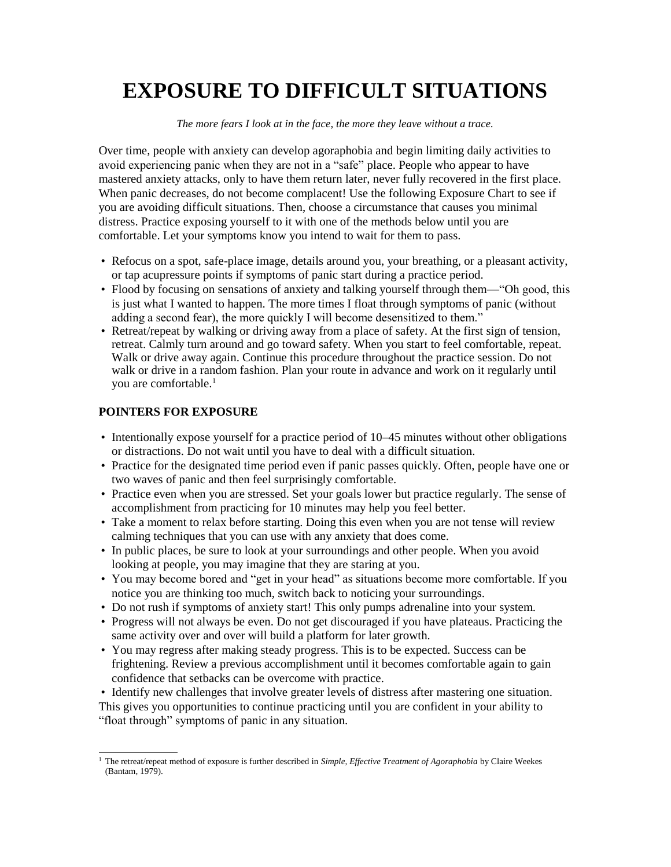# **EXPOSURE TO DIFFICULT SITUATIONS**

### *The more fears I look at in the face, the more they leave without a trace.*

Over time, people with anxiety can develop agoraphobia and begin limiting daily activities to avoid experiencing panic when they are not in a "safe" place. People who appear to have mastered anxiety attacks, only to have them return later, never fully recovered in the first place. When panic decreases, do not become complacent! Use the following Exposure Chart to see if you are avoiding difficult situations. Then, choose a circumstance that causes you minimal distress. Practice exposing yourself to it with one of the methods below until you are comfortable. Let your symptoms know you intend to wait for them to pass.

- Refocus on a spot, safe-place image, details around you, your breathing, or a pleasant activity, or tap acupressure points if symptoms of panic start during a practice period.
- Flood by focusing on sensations of anxiety and talking yourself through them—"Oh good, this is just what I wanted to happen. The more times I float through symptoms of panic (without adding a second fear), the more quickly I will become desensitized to them."
- Retreat/repeat by walking or driving away from a place of safety. At the first sign of tension, retreat. Calmly turn around and go toward safety. When you start to feel comfortable, repeat. Walk or drive away again. Continue this procedure throughout the practice session. Do not walk or drive in a random fashion. Plan your route in advance and work on it regularly until you are comfortable.<sup>1</sup>

## **POINTERS FOR EXPOSURE**

- Intentionally expose yourself for a practice period of 10–45 minutes without other obligations or distractions. Do not wait until you have to deal with a difficult situation.
- Practice for the designated time period even if panic passes quickly. Often, people have one or two waves of panic and then feel surprisingly comfortable.
- Practice even when you are stressed. Set your goals lower but practice regularly. The sense of accomplishment from practicing for 10 minutes may help you feel better.
- Take a moment to relax before starting. Doing this even when you are not tense will review calming techniques that you can use with any anxiety that does come.
- In public places, be sure to look at your surroundings and other people. When you avoid looking at people, you may imagine that they are staring at you.
- You may become bored and "get in your head" as situations become more comfortable. If you notice you are thinking too much, switch back to noticing your surroundings.
- Do not rush if symptoms of anxiety start! This only pumps adrenaline into your system.
- Progress will not always be even. Do not get discouraged if you have plateaus. Practicing the same activity over and over will build a platform for later growth.
- You may regress after making steady progress. This is to be expected. Success can be frightening. Review a previous accomplishment until it becomes comfortable again to gain confidence that setbacks can be overcome with practice.

• Identify new challenges that involve greater levels of distress after mastering one situation. This gives you opportunities to continue practicing until you are confident in your ability to "float through" symptoms of panic in any situation.

<sup>1</sup> The retreat/repeat method of exposure is further described in *Simple, Effective Treatment of Agoraphobia* by Claire Weekes (Bantam, 1979).